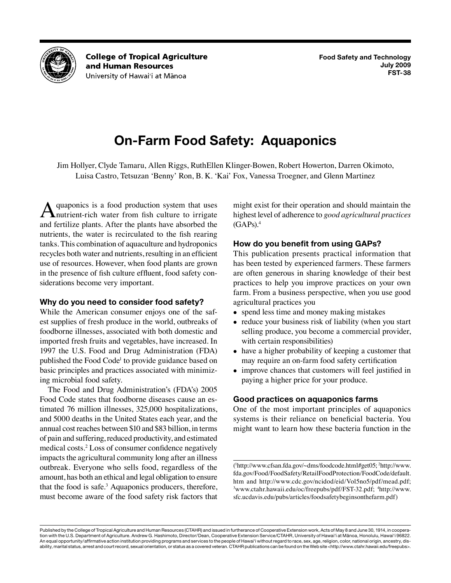

**College of Tropical Agriculture** and Human Resources University of Hawai'i at Mānoa

# **On-Farm Food Safety: Aquaponics**

Jim Hollyer, Clyde Tamaru, Allen Riggs, RuthEllen Klinger-Bowen, Robert Howerton, Darren Okimoto, Luisa Castro, Tetsuzan 'Benny' Ron, B. K. 'Kai' Fox, Vanessa Troegner, and Glenn Martinez

A quaponics is a food production system that uses<br>
nutrient-rich water from fish culture to irrigate and fertilize plants. After the plants have absorbed the nutrients, the water is recirculated to the fish rearing tanks. This combination of aquaculture and hydroponics recycles both water and nutrients, resulting in an efficient use of resources. However, when food plants are grown in the presence of fish culture effluent, food safety considerations become very important.

# **Why do you need to consider food safety?**

While the American consumer enjoys one of the safest supplies of fresh produce in the world, outbreaks of foodborne illnesses, associated with both domestic and imported fresh fruits and vegetables, have increased. In 1997 the U.S. Food and Drug Administration (FDA) published the Food Code<sup>1</sup> to provide guidance based on basic principles and practices associated with minimizing microbial food safety.

The Food and Drug Administration's (FDA's) 2005 Food Code states that foodborne diseases cause an estimated 76 million illnesses, 325,000 hospitalizations, and 5000 deaths in the United States each year, and the annual cost reaches between \$10 and \$83 billion, in terms of pain and suffering, reduced productivity, and estimated medical costs.2 Loss of consumer confidence negatively impacts the agricultural community long after an illness outbreak. Everyone who sells food, regardless of the amount, has both an ethical and legal obligation to ensure that the food is safe.<sup>3</sup> Aquaponics producers, therefore, must become aware of the food safety risk factors that

might exist for their operation and should maintain the highest level of adherence to *good agricultural practices*  $(GAPs).<sup>4</sup>$ 

# **How do you benefit from using GAPs?**

This publication presents practical information that has been tested by experienced farmers. These farmers are often generous in sharing knowledge of their best practices to help you improve practices on your own farm. From a business perspective, when you use good agricultural practices you

- spend less time and money making mistakes
- reduce your business risk of liability (when you start selling produce, you become a commercial provider, with certain responsibilities)
- have a higher probability of keeping a customer that may require an on-farm food safety certification
- improve chances that customers will feel justified in paying a higher price for your produce.

# **Good practices on aquaponics farms**

One of the most important principles of aquaponics systems is their reliance on beneficial bacteria. You might want to learn how these bacteria function in the

( 1 [http://www.cfsan.fda.gov/~dms/foodcode.html#get05;](http://www.cfsan.fda.gov/~dms/foodcode.html#get05) 2 [http://www.](http://www.fda.gov/Food/FoodSafety/RetailFoodProtection/FoodCode/default.htm) [fda.gov/Food/FoodSafety/RetailFoodProtection/FoodCode/default.](http://www.fda.gov/Food/FoodSafety/RetailFoodProtection/FoodCode/default.htm) [htm](http://www.fda.gov/Food/FoodSafety/RetailFoodProtection/FoodCode/default.htm) and [http://www.cdc.gov/ncidod/eid/Vol5no5/pdf/mead.pdf;](http://www.cdc.gov/ncidod/eid/Vol5no5/pdf/mead.pdf) <sup>3</sup><www.ctahr.hawaii.edu/oc/freepubs/pdf/FST-32.pdf>; <sup>4</sup>[http://www.](http://www.sfc.ucdavis.edu/pubs/articles/foodsafetybeginsonthefarm.pdf) [sfc.ucdavis.edu/pubs/articles/foodsafetybeginsonthefarm.pdf](http://www.sfc.ucdavis.edu/pubs/articles/foodsafetybeginsonthefarm.pdf))

Published by the College of Tropical Agriculture and Human Resources (CTAHR) and issued in furtherance of Cooperative Extension work, Acts of May 8 and June 30, 1914, in cooperation with the U.S. Department of Agriculture. Andrew G. Hashimoto, Director/Dean, Cooperative Extension Service/CTAHR, University of Hawai'i at Mānoa, Honolulu, Hawai'i 96822. An equal opportunity/affirmative action institution providing programs and services to the people of Hawai'i without regard to race, sex, age, religion, color, national origin, ancestry, disability, marital status, arrest and court record, sexual orientation, or status as a covered veteran. CTAHR publications can be found on the Web site <http://www.ctahr.hawaii.edu/freepubs>.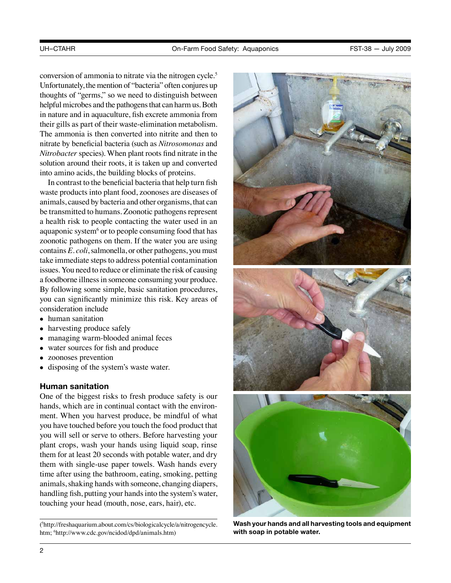conversion of ammonia to nitrate via the nitrogen cycle.5 Unfortunately, the mention of "bacteria" often conjures up thoughts of "germs," so we need to distinguish between helpful microbes and the pathogens that can harm us. Both in nature and in aquaculture, fish excrete ammonia from their gills as part of their waste-elimination metabolism. The ammonia is then converted into nitrite and then to nitrate by beneficial bacteria (such as *Nitrosomonas* and *Nitrobacter* species). When plant roots find nitrate in the solution around their roots, it is taken up and converted into amino acids, the building blocks of proteins.

In contrast to the beneficial bacteria that help turn fish waste products into plant food, zoonoses are diseases of animals, caused by bacteria and other organisms, that can be transmitted to humans. Zoonotic pathogens represent a health risk to people contacting the water used in an aquaponic system<sup>6</sup> or to people consuming food that has zoonotic pathogens on them. If the water you are using contains *E. coli*, salmonella, or other pathogens, you must take immediate steps to address potential contamination issues. You need to reduce or eliminate the risk of causing a foodborne illness in someone consuming your produce. By following some simple, basic sanitation procedures, you can significantly minimize this risk. Key areas of consideration include

- human sanitation<br>• harvesting produce
- harvesting produce safely
- managing warm-blooded animal feces
- water sources for fish and produce
- zoonoses prevention
- disposing of the system's waste water.

## **Human sanitation**

One of the biggest risks to fresh produce safety is our hands, which are in continual contact with the environment. When you harvest produce, be mindful of what you have touched before you touch the food product that you will sell or serve to others. Before harvesting your plant crops, wash your hands using liquid soap, rinse them for at least 20 seconds with potable water, and dry them with single-use paper towels. Wash hands every time after using the bathroom, eating, smoking, petting animals, shaking hands with someone, changing diapers, handling fish, putting your hands into the system's water, touching your head (mouth, nose, ears, hair), etc.

( 5 [http://freshaquarium.about.com/cs/biologicalcycle/a/nitrogencycle.](http://freshaquarium.about.com/cs/biologicalcycle/a/nitrogencycle.htm) [htm](http://freshaquarium.about.com/cs/biologicalcycle/a/nitrogencycle.htm); 6 [http://www.cdc.gov/ncidod/dpd/animals.htm\)](http://www.cdc.gov/ncidod/dpd/animals.htm)



**Wash your hands and all harvesting tools and equipment with soap in potable water.**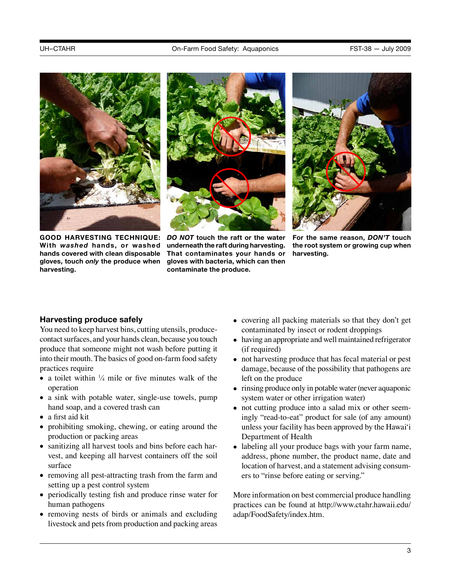



GOOD HARVESTING TECHNIQUE: DO NOT touch the raft or the water **With** *washed* **hands, or washed hands covered with clean disposable gloves, touch** *only* **the produce when harvesting.** 

**underneath the raft during harvesting. That contaminates your hands or gloves with bacteria, which can then contaminate the produce.**



**For the same reason,** *DON'T* **touch the root system or growing cup when harvesting.** 

# **Harvesting produce safely**

You need to keep harvest bins, cutting utensils, producecontact surfaces, and your hands clean, because you touch produce that someone might not wash before putting it into their mouth. The basics of good on-farm food safety practices require

- a toilet within  $\frac{1}{4}$  mile or five minutes walk of the operation
- a sink with potable water, single-use towels, pump hand soap, and a covered trash can
- a first aid kit
- prohibiting smoking, chewing, or eating around the production or packing areas
- sanitizing all harvest tools and bins before each harvest, and keeping all harvest containers off the soil surface
- removing all pest-attracting trash from the farm and setting up a pest control system
- periodically testing fish and produce rinse water for human pathogens
- removing nests of birds or animals and excluding livestock and pets from production and packing areas
- covering all packing materials so that they don't get contaminated by insect or rodent droppings
- having an appropriate and well maintained refrigerator (if required)
- not harvesting produce that has fecal material or pest damage, because of the possibility that pathogens are left on the produce
- rinsing produce only in potable water (never aquaponic system water or other irrigation water)
- not cutting produce into a salad mix or other seemingly "read-to-eat" product for sale (of any amount) unless your facility has been approved by the Hawai'i Department of Health
- labeling all your produce bags with your farm name, address, phone number, the product name, date and location of harvest, and a statement advising consumers to "rinse before eating or serving."

More information on best commercial produce handling practices can be found at [http://www.ctahr.hawaii.edu/](http://www.ctahr.hawaii.edu/adap/FoodSafety/index.htm) [adap/FoodSafety/index.htm](http://www.ctahr.hawaii.edu/adap/FoodSafety/index.htm).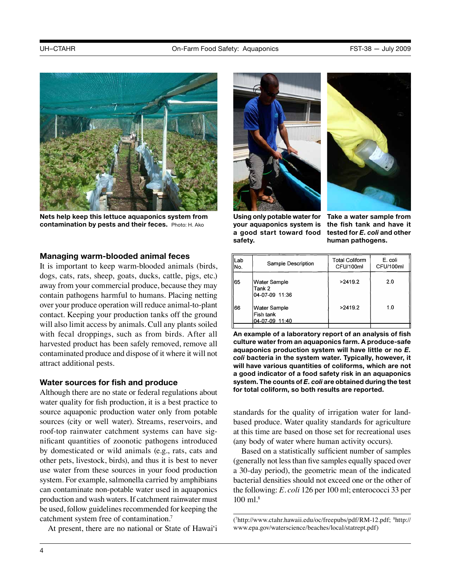

**Nets help keep this lettuce aquaponics system from contamination by pests and their feces.** Photo: H. Ako

#### **Managing warm-blooded animal feces**

It is important to keep warm-blooded animals (birds, dogs, cats, rats, sheep, goats, ducks, cattle, pigs, etc.) away from your commercial produce, because they may contain pathogens harmful to humans. Placing netting over your produce operation will reduce animal-to-plant contact. Keeping your production tanks off the ground will also limit access by animals. Cull any plants soiled with fecal droppings, such as from birds. After all harvested product has been safely removed, remove all contaminated produce and dispose of it where it will not attract additional pests.

#### **Water sources for fish and produce**

Although there are no state or federal regulations about water quality for fish production, it is a best practice to source aquaponic production water only from potable sources (city or well water). Streams, reservoirs, and roof-top rainwater catchment systems can have significant quantities of zoonotic pathogens introduced by domesticated or wild animals (e.g., rats, cats and other pets, livestock, birds), and thus it is best to never use water from these sources in your food production system. For example, salmonella carried by amphibians can contaminate non-potable water used in aquaponics production and wash waters. If catchment rainwater must be used, follow guidelines recommended for keeping the catchment system free of contamination.7

At present, there are no national or State of Hawai'i





Using only potable water for Take a water sample from **your aquaponics system is a good start toward food safety.**

**the fish tank and have it tested for** *E. coli* **and other human pathogens.**

| Sample Description                                 | <b>Total Coliform</b><br>CFU/100ml | E. coli<br>CFU/100ml |
|----------------------------------------------------|------------------------------------|----------------------|
| Water Sample<br>Tank 2<br>04-07-09 11:36           | >2419.2                            | 2.0                  |
| <b>Water Sample</b><br>Fish tank<br>04-07-09 11:40 | >2419.2                            | 1.0                  |
|                                                    |                                    |                      |

**An example of a laboratory report of an analysis of fish culture water from an aquaponics farm. A produce-safe aquaponics production system will have little or no** *E. coli* **bacteria in the system water. Typically, however, it will have various quantities of coliforms, which are not a good indicator of a food safety risk in an aquaponics system. The counts of** *E. coli* **are obtained during the test for total coliform, so both results are reported.**

standards for the quality of irrigation water for landbased produce. Water quality standards for agriculture at this time are based on those set for recreational uses (any body of water where human activity occurs).

Based on a statistically sufficient number of samples (generally not less than five samples equally spaced over a 30-day period), the geometric mean of the indicated bacterial densities should not exceed one or the other of the following: *E. coli* 126 per 100 ml; enterococci 33 per 100 ml.8

<sup>(</sup> 7 <http://www.ctahr.hawaii.edu/oc/freepubs/pdf/RM-12.pdf>; 8 [http://](http://www.epa.gov/waterscience/beaches/local/statrept.pdf) [www.epa.gov/waterscience/beaches/local/statrept.pdf](http://www.epa.gov/waterscience/beaches/local/statrept.pdf))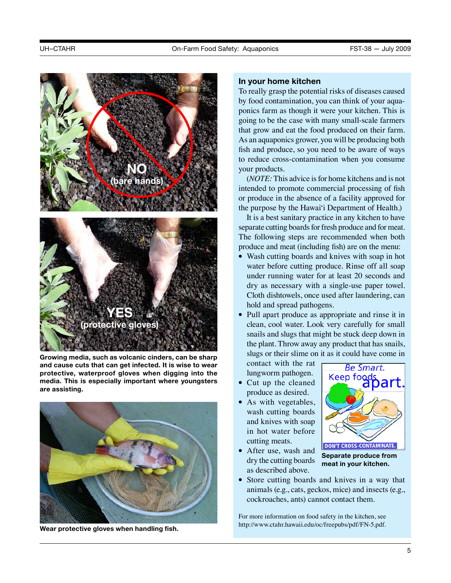

**Growing media, such as volcanic cinders, can be sharp and cause cuts that can get infected. It is wise to wear protective, waterproof gloves when digging into the media. This is especially important where youngsters are assisting.**



**Wear protective gloves when handling fish.**

#### **In your home kitchen**

To really grasp the potential risks of diseases caused by food contamination, you can think of your aquaponics farm as though it were your kitchen. This is going to be the case with many small-scale farmers that grow and eat the food produced on their farm. As an aquaponics grower, you will be producing both fish and produce, so you need to be aware of ways to reduce cross-contamination when you consume your products.

(*NOTE:* This advice is for home kitchens and is not intended to promote commercial processing of fish or produce in the absence of a facility approved for the purpose by the Hawai'i Department of Health.)

It is a best sanitary practice in any kitchen to have separate cutting boards for fresh produce and for meat. The following steps are recommended when both produce and meat (including fish) are on the menu:

- Wash cutting boards and knives with soap in hot water before cutting produce. Rinse off all soap under running water for at least 20 seconds and dry as necessary with a single-use paper towel. Cloth dishtowels, once used after laundering, can hold and spread pathogens.
- Pull apart produce as appropriate and rinse it in clean, cool water. Look very carefully for small snails and slugs that might be stuck deep down in the plant. Throw away any product that has snails, slugs or their slime on it as it could have come in

contact with the rat lungworm pathogen.

- Cut up the cleaned produce as desired.
- As with vegetables, wash cutting boards and knives with soap in hot water before cutting meats.



• After use, wash and dry the cutting boards as described above.

**Separate produce from meat in your kitchen.**

• Store cutting boards and knives in a way that animals (e.g., cats, geckos, mice) and insects (e.g., cockroaches, ants) cannot contact them.

For more information on food safety in the kitchen, see [http://www.ctahr.hawaii.edu/oc/freepubs/pdf/FN-5.pdf.](http://www.ctahr.hawaii.edu/oc/freepubs/pdf/FN-5.pdf)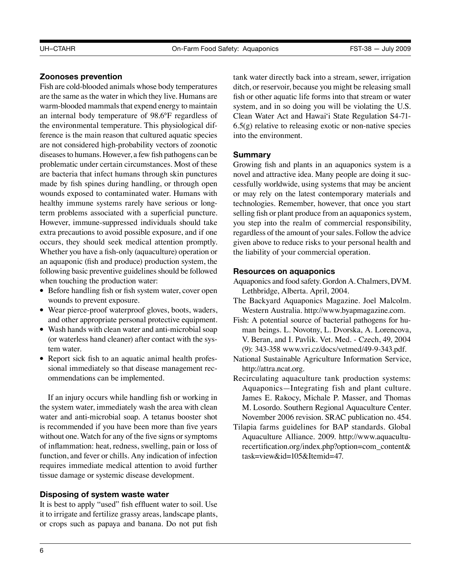# **Zoonoses prevention**

Fish are cold-blooded animals whose body temperatures are the same as the water in which they live. Humans are warm-blooded mammals that expend energy to maintain an internal body temperature of 98.6°F regardless of the environmental temperature. This physiological difference is the main reason that cultured aquatic species are not considered high-probability vectors of zoonotic diseases to humans. However, a few fish pathogens can be problematic under certain circumstances. Most of these are bacteria that infect humans through skin punctures made by fish spines during handling, or through open wounds exposed to contaminated water. Humans with healthy immune systems rarely have serious or longterm problems associated with a superficial puncture. However, immune-suppressed individuals should take extra precautions to avoid possible exposure, and if one occurs, they should seek medical attention promptly. Whether you have a fish-only (aquaculture) operation or an aquaponic (fish and produce) production system, the following basic preventive guidelines should be followed when touching the production water:

- Before handling fish or fish system water, cover open wounds to prevent exposure.
- Wear pierce-proof waterproof gloves, boots, waders, and other appropriate personal protective equipment.
- Wash hands with clean water and anti-microbial soap (or waterless hand cleaner) after contact with the system water.
- Report sick fish to an aquatic animal health professional immediately so that disease management recommendations can be implemented.

If an injury occurs while handling fish or working in the system water, immediately wash the area with clean water and anti-microbial soap. A tetanus booster shot is recommended if you have been more than five years without one. Watch for any of the five signs or symptoms of inflammation: heat, redness, swelling, pain or loss of function, and fever or chills. Any indication of infection requires immediate medical attention to avoid further tissue damage or systemic disease development.

# **Disposing of system waste water**

It is best to apply "used" fish effluent water to soil. Use it to irrigate and fertilize grassy areas, landscape plants, or crops such as papaya and banana. Do not put fish tank water directly back into a stream, sewer, irrigation ditch, or reservoir, because you might be releasing small fish or other aquatic life forms into that stream or water system, and in so doing you will be violating the U.S. Clean Water Act and Hawai'i State Regulation S4-71- 6.5(g) relative to releasing exotic or non-native species into the environment.

#### **Summary**

Growing fish and plants in an aquaponics system is a novel and attractive idea. Many people are doing it successfully worldwide, using systems that may be ancient or may rely on the latest contemporary materials and technologies. Remember, however, that once you start selling fish or plant produce from an aquaponics system, you step into the realm of commercial responsibility, regardless of the amount of your sales. Follow the advice given above to reduce risks to your personal health and the liability of your commercial operation.

## **Resources on aquaponics**

Aquaponics and food safety. Gordon A. Chalmers, DVM. Lethbridge, Alberta. April, 2004.

- The Backyard Aquaponics Magazine. Joel Malcolm. Western Australia. [http://www.byapmagazine.com.](http://www.byapmagazine.com)
- Fish: A potential source of bacterial pathogens for human beings. L. Novotny, L. Dvorska, A. Lorencova, V. Beran, and I. Pavlik. Vet. Med. - Czech, 49, 2004 (9): 343-358 <www.vri.cz/docs/vetmed/49-9-343.pdf>.
- National Sustainable Agriculture Information Service, [http://attra.ncat.org.](http://attra.ncat.org)
- Recirculating aquaculture tank production systems: Aquaponics—Integrating fish and plant culture. James E. Rakocy, Michale P. Masser, and Thomas M. Losordo. Southern Regional Aquaculture Center. November 2006 revision. SRAC publication no. 454.
- Tilapia farms guidelines for BAP standards. Global Aquaculture Alliance. 2009. [http://www.aquacultu](http://www.aquaculturecertification.org/index.php?option=com_content&task=view&id=105&Itemid=47)[recertification.org/index.php?option=com\\_content&](http://www.aquaculturecertification.org/index.php?option=com_content&task=view&id=105&Itemid=47) [task=view&id=105&Itemid=47.](http://www.aquaculturecertification.org/index.php?option=com_content&task=view&id=105&Itemid=47)